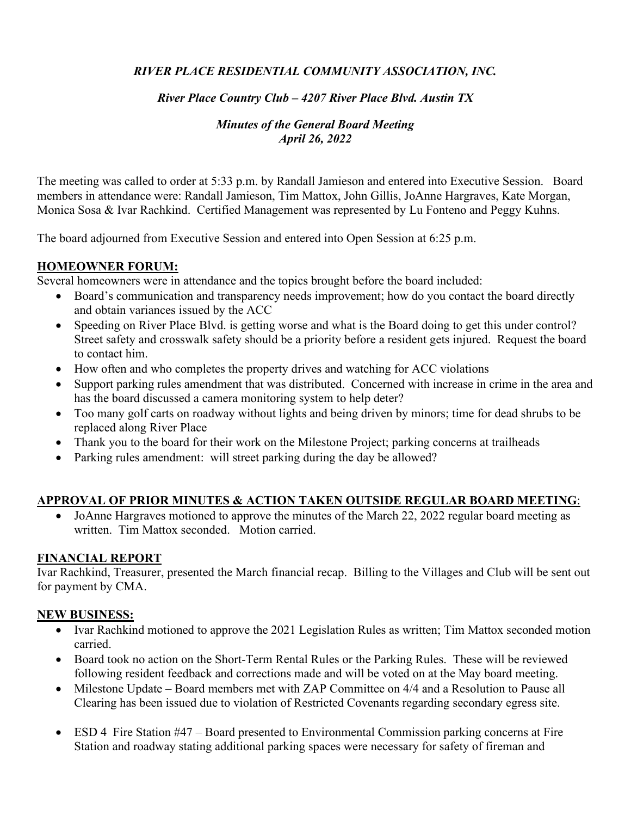# *RIVER PLACE RESIDENTIAL COMMUNITY ASSOCIATION, INC.*

#### *River Place Country Club – 4207 River Place Blvd. Austin TX*

## *Minutes of the General Board Meeting April 26, 2022*

The meeting was called to order at 5:33 p.m. by Randall Jamieson and entered into Executive Session. Board members in attendance were: Randall Jamieson, Tim Mattox, John Gillis, JoAnne Hargraves, Kate Morgan, Monica Sosa & Ivar Rachkind. Certified Management was represented by Lu Fonteno and Peggy Kuhns.

The board adjourned from Executive Session and entered into Open Session at 6:25 p.m.

## **HOMEOWNER FORUM:**

Several homeowners were in attendance and the topics brought before the board included:

- Board's communication and transparency needs improvement; how do you contact the board directly and obtain variances issued by the ACC
- Speeding on River Place Blvd. is getting worse and what is the Board doing to get this under control? Street safety and crosswalk safety should be a priority before a resident gets injured. Request the board to contact him.
- How often and who completes the property drives and watching for ACC violations
- Support parking rules amendment that was distributed. Concerned with increase in crime in the area and has the board discussed a camera monitoring system to help deter?
- Too many golf carts on roadway without lights and being driven by minors; time for dead shrubs to be replaced along River Place
- Thank you to the board for their work on the Milestone Project; parking concerns at trailheads
- Parking rules amendment: will street parking during the day be allowed?

#### **APPROVAL OF PRIOR MINUTES & ACTION TAKEN OUTSIDE REGULAR BOARD MEETING**:

• JoAnne Hargraves motioned to approve the minutes of the March 22, 2022 regular board meeting as written. Tim Mattox seconded. Motion carried.

#### **FINANCIAL REPORT**

Ivar Rachkind, Treasurer, presented the March financial recap. Billing to the Villages and Club will be sent out for payment by CMA.

#### **NEW BUSINESS:**

- Ivar Rachkind motioned to approve the 2021 Legislation Rules as written; Tim Mattox seconded motion carried.
- Board took no action on the Short-Term Rental Rules or the Parking Rules. These will be reviewed following resident feedback and corrections made and will be voted on at the May board meeting.
- Milestone Update Board members met with ZAP Committee on 4/4 and a Resolution to Pause all Clearing has been issued due to violation of Restricted Covenants regarding secondary egress site.
- ESD 4 Fire Station #47 Board presented to Environmental Commission parking concerns at Fire Station and roadway stating additional parking spaces were necessary for safety of fireman and